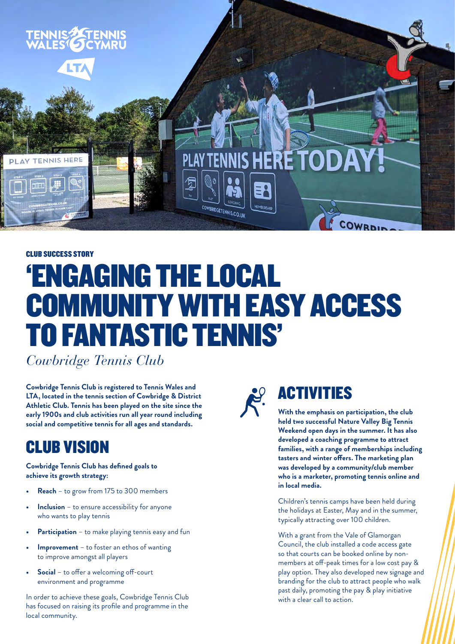

## CLUB SUCCESS STORY 'ENGAGING THE LOCAL COMMUNITY WITH EASY ACCESS TO FANTASTIC TENNIS'

*Cowbridge Tennis Club*

**Cowbridge Tennis Club is registered to Tennis Wales and LTA, located in the tennis section of Cowbridge & District Athletic Club. Tennis has been played on the site since the early 1900s and club activities run all year round including social and competitive tennis for all ages and standards.** 

#### CLUB VISION

**Cowbridge Tennis Club has defined goals to achieve its growth strategy:**

- **• Reach** to grow from 175 to 300 members
- **Inclusion** to ensure accessibility for anyone who wants to play tennis
- **• Participation** to make playing tennis easy and fun
- **Improvement** to foster an ethos of wanting to improve amongst all players
- **• Social** to offer a welcoming off-court environment and programme

In order to achieve these goals, Cowbridge Tennis Club has focused on raising its profile and programme in the local community.



### ACTIVITIES

**With the emphasis on participation, the club held two successful Nature Valley Big Tennis Weekend open days in the summer. It has also developed a coaching programme to attract families, with a range of memberships including tasters and winter offers. The marketing plan was developed by a community/club member who is a marketer, promoting tennis online and in local media.**

Children's tennis camps have been held during the holidays at Easter, May and in the summer, typically attracting over 100 children.

With a grant from the Vale of Glamorgan Council, the club installed a code access gate so that courts can be booked online by nonmembers at off-peak times for a low cost pay & play option. They also developed new signage and branding for the club to attract people who walk past daily, promoting the pay & play initiative with a clear call to action.